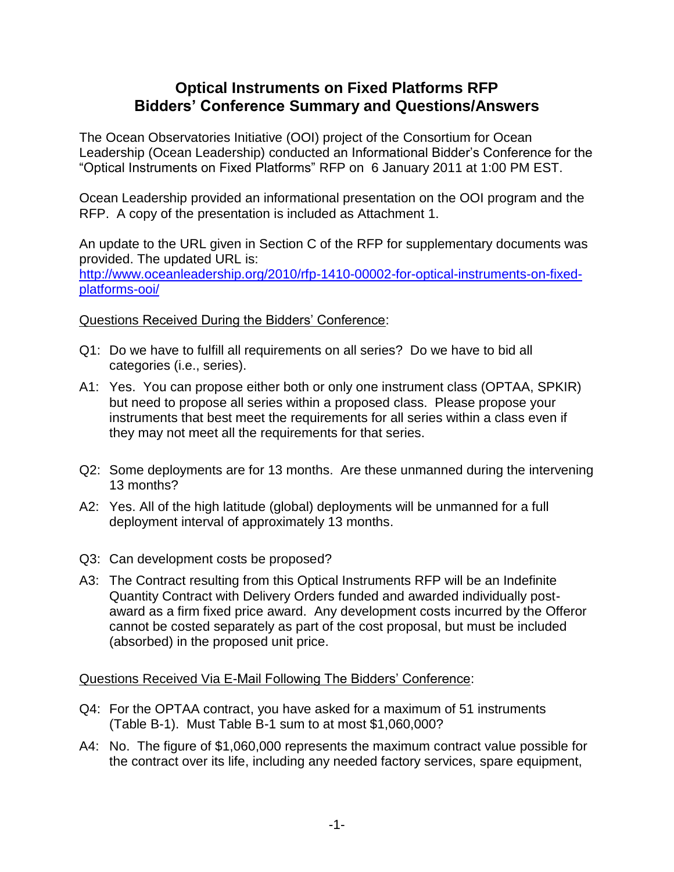## **Optical Instruments on Fixed Platforms RFP Bidders' Conference Summary and Questions/Answers**

The Ocean Observatories Initiative (OOI) project of the Consortium for Ocean Leadership (Ocean Leadership) conducted an Informational Bidder's Conference for the "Optical Instruments on Fixed Platforms" RFP on 6 January 2011 at 1:00 PM EST.

Ocean Leadership provided an informational presentation on the OOI program and the RFP. A copy of the presentation is included as Attachment 1.

An update to the URL given in Section C of the RFP for supplementary documents was provided. The updated URL is:

[http://www.oceanleadership.org/2010/rfp-1410-00002-for-optical-instruments-on-fixed](http://www.oceanleadership.org/2010/rfp-1410-00002-for-optical-instruments-on-fixed-platforms-ooi/)[platforms-ooi/](http://www.oceanleadership.org/2010/rfp-1410-00002-for-optical-instruments-on-fixed-platforms-ooi/)

## Questions Received During the Bidders' Conference:

- Q1: Do we have to fulfill all requirements on all series? Do we have to bid all categories (i.e., series).
- A1: Yes. You can propose either both or only one instrument class (OPTAA, SPKIR) but need to propose all series within a proposed class. Please propose your instruments that best meet the requirements for all series within a class even if they may not meet all the requirements for that series.
- Q2: Some deployments are for 13 months. Are these unmanned during the intervening 13 months?
- A2: Yes. All of the high latitude (global) deployments will be unmanned for a full deployment interval of approximately 13 months.
- Q3: Can development costs be proposed?
- A3: The Contract resulting from this Optical Instruments RFP will be an Indefinite Quantity Contract with Delivery Orders funded and awarded individually postaward as a firm fixed price award. Any development costs incurred by the Offeror cannot be costed separately as part of the cost proposal, but must be included (absorbed) in the proposed unit price.

Questions Received Via E-Mail Following The Bidders' Conference:

- Q4: For the OPTAA contract, you have asked for a maximum of 51 instruments (Table B-1). Must Table B-1 sum to at most \$1,060,000?
- A4: No. The figure of \$1,060,000 represents the maximum contract value possible for the contract over its life, including any needed factory services, spare equipment,